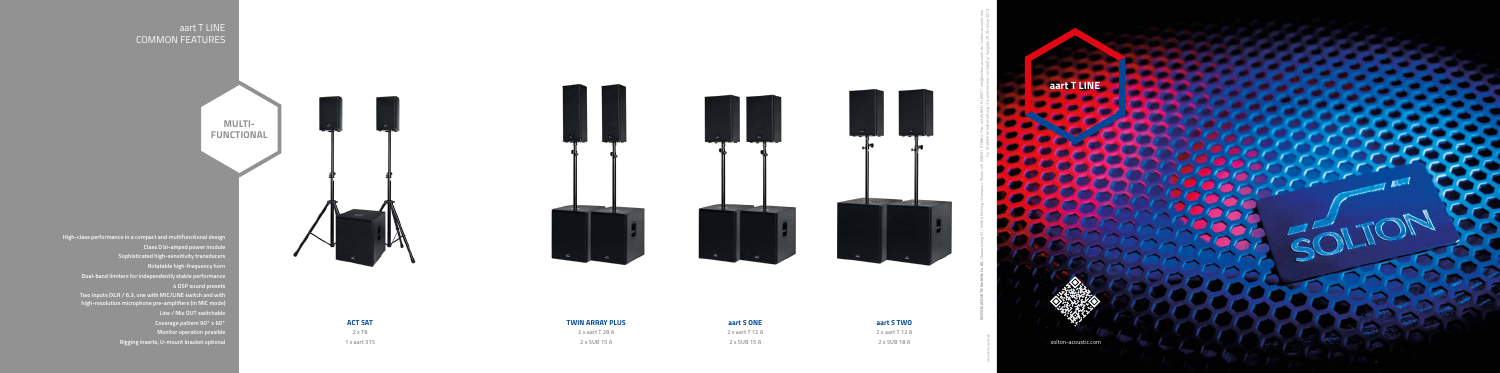





- **Monitor operation possible**
- **Rigging inserts, U-mount bracket optional**

**aart S TWO 2 x aart T 12 A**

**2 x SUB 18 A**



# **aart S ONE**

**2 x aart T 12 A 2 x SUB 15 A**

## **TWIN ARRAY PLUS**

**2 x aart T 28 A 2 x SUB 15 A**

**2 x T8 1 x aart 315**